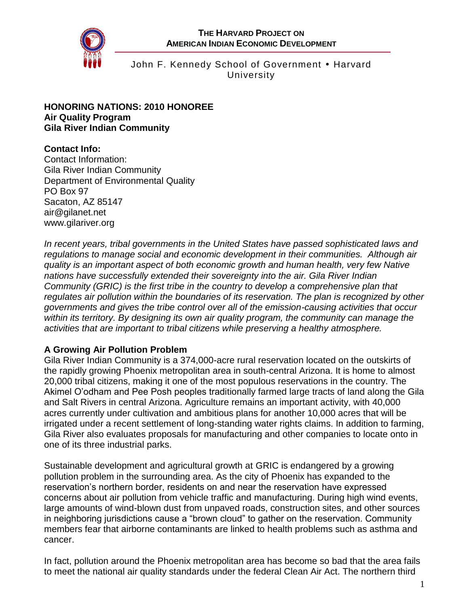

John F. Kennedy School of Government . Harvard **University** 

#### **HONORING NATIONS: 2010 HONOREE Air Quality Program Gila River Indian Community**

# **Contact Info:**

Contact Information: Gila River Indian Community Department of Environmental Quality PO Box 97 Sacaton, AZ 85147 air@gilanet.net www.gilariver.org

*In recent years, tribal governments in the United States have passed sophisticated laws and regulations to manage social and economic development in their communities. Although air quality is an important aspect of both economic growth and human health, very few Native nations have successfully extended their sovereignty into the air. Gila River Indian Community (GRIC) is the first tribe in the country to develop a comprehensive plan that regulates air pollution within the boundaries of its reservation. The plan is recognized by other governments and gives the tribe control over all of the emission-causing activities that occur within its territory. By designing its own air quality program, the community can manage the activities that are important to tribal citizens while preserving a healthy atmosphere.*

## **A Growing Air Pollution Problem**

Gila River Indian Community is a 374,000-acre rural reservation located on the outskirts of the rapidly growing Phoenix metropolitan area in south-central Arizona. It is home to almost 20,000 tribal citizens, making it one of the most populous reservations in the country. The Akimel O'odham and Pee Posh peoples traditionally farmed large tracts of land along the Gila and Salt Rivers in central Arizona. Agriculture remains an important activity, with 40,000 acres currently under cultivation and ambitious plans for another 10,000 acres that will be irrigated under a recent settlement of long-standing water rights claims. In addition to farming, Gila River also evaluates proposals for manufacturing and other companies to locate onto in one of its three industrial parks.

Sustainable development and agricultural growth at GRIC is endangered by a growing pollution problem in the surrounding area. As the city of Phoenix has expanded to the reservation's northern border, residents on and near the reservation have expressed concerns about air pollution from vehicle traffic and manufacturing. During high wind events, large amounts of wind-blown dust from unpaved roads, construction sites, and other sources in neighboring jurisdictions cause a "brown cloud" to gather on the reservation. Community members fear that airborne contaminants are linked to health problems such as asthma and cancer.

In fact, pollution around the Phoenix metropolitan area has become so bad that the area fails to meet the national air quality standards under the federal Clean Air Act. The northern third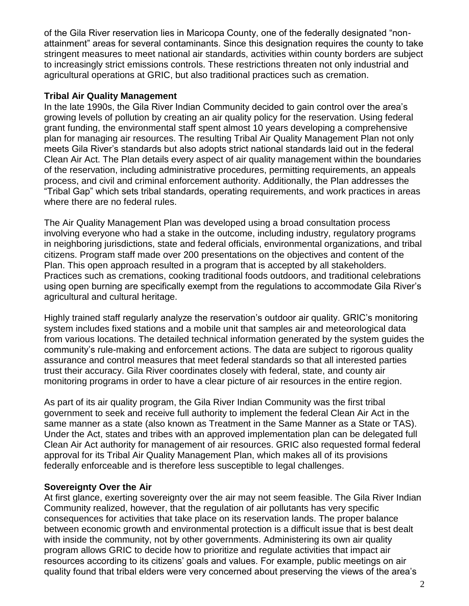of the Gila River reservation lies in Maricopa County, one of the federally designated "nonattainment" areas for several contaminants. Since this designation requires the county to take stringent measures to meet national air standards, activities within county borders are subject to increasingly strict emissions controls. These restrictions threaten not only industrial and agricultural operations at GRIC, but also traditional practices such as cremation.

### **Tribal Air Quality Management**

In the late 1990s, the Gila River Indian Community decided to gain control over the area's growing levels of pollution by creating an air quality policy for the reservation. Using federal grant funding, the environmental staff spent almost 10 years developing a comprehensive plan for managing air resources. The resulting Tribal Air Quality Management Plan not only meets Gila River's standards but also adopts strict national standards laid out in the federal Clean Air Act. The Plan details every aspect of air quality management within the boundaries of the reservation, including administrative procedures, permitting requirements, an appeals process, and civil and criminal enforcement authority. Additionally, the Plan addresses the "Tribal Gap" which sets tribal standards, operating requirements, and work practices in areas where there are no federal rules.

The Air Quality Management Plan was developed using a broad consultation process involving everyone who had a stake in the outcome, including industry, regulatory programs in neighboring jurisdictions, state and federal officials, environmental organizations, and tribal citizens. Program staff made over 200 presentations on the objectives and content of the Plan. This open approach resulted in a program that is accepted by all stakeholders. Practices such as cremations, cooking traditional foods outdoors, and traditional celebrations using open burning are specifically exempt from the regulations to accommodate Gila River's agricultural and cultural heritage.

Highly trained staff regularly analyze the reservation's outdoor air quality. GRIC's monitoring system includes fixed stations and a mobile unit that samples air and meteorological data from various locations. The detailed technical information generated by the system guides the community's rule-making and enforcement actions. The data are subject to rigorous quality assurance and control measures that meet federal standards so that all interested parties trust their accuracy. Gila River coordinates closely with federal, state, and county air monitoring programs in order to have a clear picture of air resources in the entire region.

As part of its air quality program, the Gila River Indian Community was the first tribal government to seek and receive full authority to implement the federal Clean Air Act in the same manner as a state (also known as Treatment in the Same Manner as a State or TAS). Under the Act, states and tribes with an approved implementation plan can be delegated full Clean Air Act authority for management of air resources. GRIC also requested formal federal approval for its Tribal Air Quality Management Plan, which makes all of its provisions federally enforceable and is therefore less susceptible to legal challenges.

#### **Sovereignty Over the Air**

At first glance, exerting sovereignty over the air may not seem feasible. The Gila River Indian Community realized, however, that the regulation of air pollutants has very specific consequences for activities that take place on its reservation lands. The proper balance between economic growth and environmental protection is a difficult issue that is best dealt with inside the community, not by other governments. Administering its own air quality program allows GRIC to decide how to prioritize and regulate activities that impact air resources according to its citizens' goals and values. For example, public meetings on air quality found that tribal elders were very concerned about preserving the views of the area's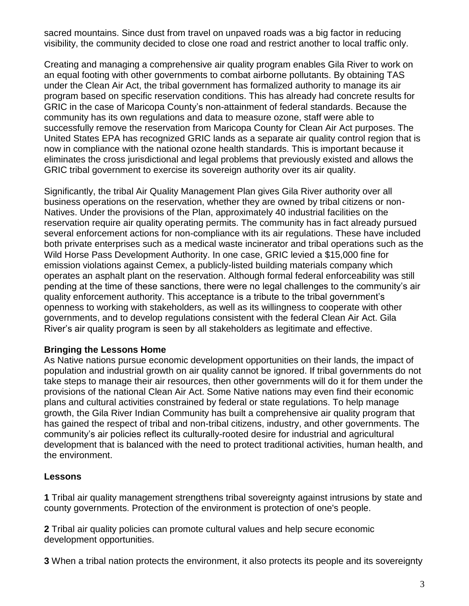sacred mountains. Since dust from travel on unpaved roads was a big factor in reducing visibility, the community decided to close one road and restrict another to local traffic only.

Creating and managing a comprehensive air quality program enables Gila River to work on an equal footing with other governments to combat airborne pollutants. By obtaining TAS under the Clean Air Act, the tribal government has formalized authority to manage its air program based on specific reservation conditions. This has already had concrete results for GRIC in the case of Maricopa County's non-attainment of federal standards. Because the community has its own regulations and data to measure ozone, staff were able to successfully remove the reservation from Maricopa County for Clean Air Act purposes. The United States EPA has recognized GRIC lands as a separate air quality control region that is now in compliance with the national ozone health standards. This is important because it eliminates the cross jurisdictional and legal problems that previously existed and allows the GRIC tribal government to exercise its sovereign authority over its air quality.

Significantly, the tribal Air Quality Management Plan gives Gila River authority over all business operations on the reservation, whether they are owned by tribal citizens or non-Natives. Under the provisions of the Plan, approximately 40 industrial facilities on the reservation require air quality operating permits. The community has in fact already pursued several enforcement actions for non-compliance with its air regulations. These have included both private enterprises such as a medical waste incinerator and tribal operations such as the Wild Horse Pass Development Authority. In one case, GRIC levied a \$15,000 fine for emission violations against Cemex, a publicly-listed building materials company which operates an asphalt plant on the reservation. Although formal federal enforceability was still pending at the time of these sanctions, there were no legal challenges to the community's air quality enforcement authority. This acceptance is a tribute to the tribal government's openness to working with stakeholders, as well as its willingness to cooperate with other governments, and to develop regulations consistent with the federal Clean Air Act. Gila River's air quality program is seen by all stakeholders as legitimate and effective.

#### **Bringing the Lessons Home**

As Native nations pursue economic development opportunities on their lands, the impact of population and industrial growth on air quality cannot be ignored. If tribal governments do not take steps to manage their air resources, then other governments will do it for them under the provisions of the national Clean Air Act. Some Native nations may even find their economic plans and cultural activities constrained by federal or state regulations. To help manage growth, the Gila River Indian Community has built a comprehensive air quality program that has gained the respect of tribal and non-tribal citizens, industry, and other governments. The community's air policies reflect its culturally-rooted desire for industrial and agricultural development that is balanced with the need to protect traditional activities, human health, and the environment.

#### **Lessons**

**1** Tribal air quality management strengthens tribal sovereignty against intrusions by state and county governments. Protection of the environment is protection of one's people.

**2** Tribal air quality policies can promote cultural values and help secure economic development opportunities.

**3** When a tribal nation protects the environment, it also protects its people and its sovereignty